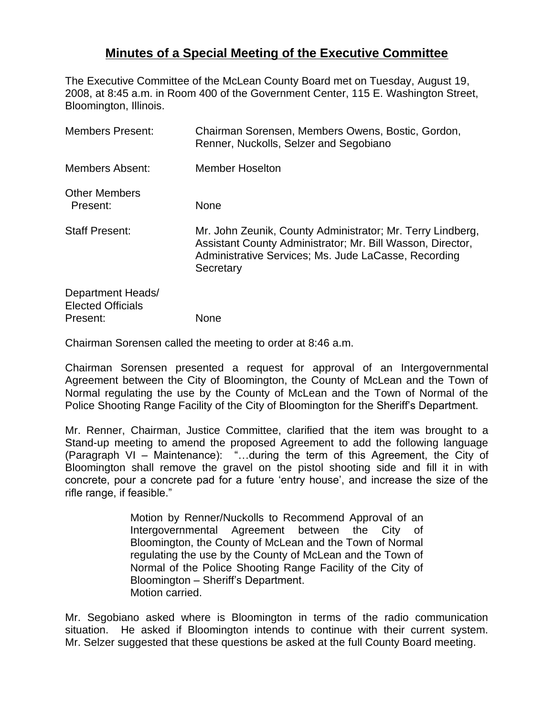## **Minutes of a Special Meeting of the Executive Committee**

The Executive Committee of the McLean County Board met on Tuesday, August 19, 2008, at 8:45 a.m. in Room 400 of the Government Center, 115 E. Washington Street, Bloomington, Illinois.

| <b>Members Present:</b>                                   | Chairman Sorensen, Members Owens, Bostic, Gordon,<br>Renner, Nuckolls, Selzer and Segobiano                                                                                                   |
|-----------------------------------------------------------|-----------------------------------------------------------------------------------------------------------------------------------------------------------------------------------------------|
| <b>Members Absent:</b>                                    | <b>Member Hoselton</b>                                                                                                                                                                        |
| <b>Other Members</b><br>Present:                          | None                                                                                                                                                                                          |
| <b>Staff Present:</b>                                     | Mr. John Zeunik, County Administrator; Mr. Terry Lindberg,<br>Assistant County Administrator; Mr. Bill Wasson, Director,<br>Administrative Services; Ms. Jude LaCasse, Recording<br>Secretary |
| Department Heads/<br><b>Elected Officials</b><br>Present: | <b>None</b>                                                                                                                                                                                   |

Chairman Sorensen called the meeting to order at 8:46 a.m.

Chairman Sorensen presented a request for approval of an Intergovernmental Agreement between the City of Bloomington, the County of McLean and the Town of Normal regulating the use by the County of McLean and the Town of Normal of the Police Shooting Range Facility of the City of Bloomington for the Sheriff's Department.

Mr. Renner, Chairman, Justice Committee, clarified that the item was brought to a Stand-up meeting to amend the proposed Agreement to add the following language (Paragraph VI – Maintenance): "…during the term of this Agreement, the City of Bloomington shall remove the gravel on the pistol shooting side and fill it in with concrete, pour a concrete pad for a future "entry house", and increase the size of the rifle range, if feasible."

> Motion by Renner/Nuckolls to Recommend Approval of an Intergovernmental Agreement between the City of Bloomington, the County of McLean and the Town of Normal regulating the use by the County of McLean and the Town of Normal of the Police Shooting Range Facility of the City of Bloomington – Sheriff"s Department. Motion carried.

Mr. Segobiano asked where is Bloomington in terms of the radio communication situation. He asked if Bloomington intends to continue with their current system. Mr. Selzer suggested that these questions be asked at the full County Board meeting.